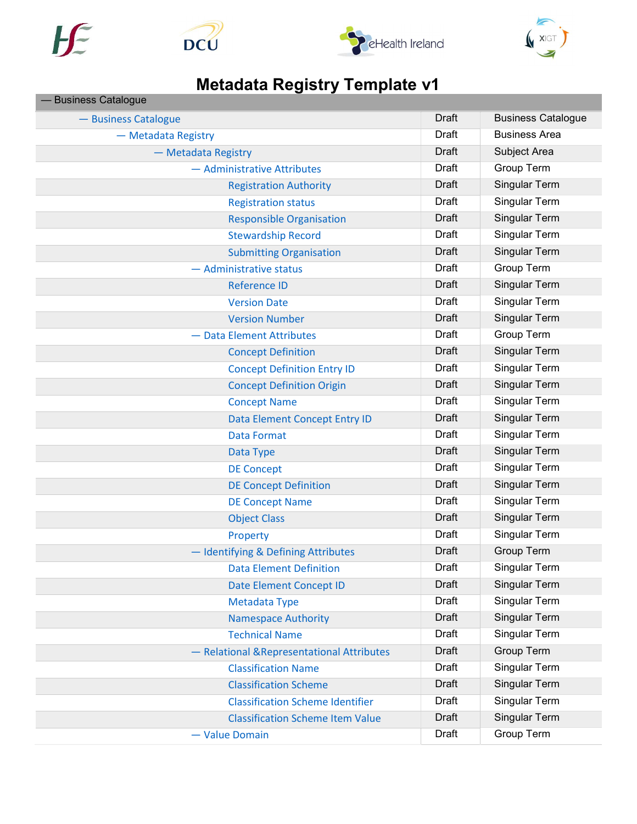







## Metadata Registry Template v1

| <b>Business Catalogue</b>                  |              |                           |
|--------------------------------------------|--------------|---------------------------|
| - Business Catalogue                       | Draft        | <b>Business Catalogue</b> |
| - Metadata Registry                        | <b>Draft</b> | <b>Business Area</b>      |
| - Metadata Registry                        | <b>Draft</b> | Subject Area              |
| - Administrative Attributes                | Draft        | Group Term                |
| <b>Registration Authority</b>              | Draft        | Singular Term             |
| <b>Registration status</b>                 | Draft        | Singular Term             |
| <b>Responsible Organisation</b>            | Draft        | Singular Term             |
| <b>Stewardship Record</b>                  | <b>Draft</b> | Singular Term             |
| <b>Submitting Organisation</b>             | Draft        | Singular Term             |
| - Administrative status                    | Draft        | Group Term                |
| <b>Reference ID</b>                        | Draft        | Singular Term             |
| <b>Version Date</b>                        | Draft        | Singular Term             |
| <b>Version Number</b>                      | Draft        | Singular Term             |
| - Data Element Attributes                  | <b>Draft</b> | Group Term                |
| <b>Concept Definition</b>                  | Draft        | <b>Singular Term</b>      |
| <b>Concept Definition Entry ID</b>         | Draft        | Singular Term             |
| <b>Concept Definition Origin</b>           | Draft        | Singular Term             |
| <b>Concept Name</b>                        | Draft        | Singular Term             |
| Data Element Concept Entry ID              | Draft        | Singular Term             |
| <b>Data Format</b>                         | <b>Draft</b> | Singular Term             |
| Data Type                                  | Draft        | <b>Singular Term</b>      |
| <b>DE Concept</b>                          | Draft        | Singular Term             |
| <b>DE Concept Definition</b>               | Draft        | Singular Term             |
| <b>DE Concept Name</b>                     | Draft        | Singular Term             |
| <b>Object Class</b>                        | <b>Draft</b> | Singular Term             |
| Property                                   | <b>Draft</b> | Singular Term             |
| - Identifying & Defining Attributes        | <b>Draft</b> | <b>Group Term</b>         |
| <b>Data Element Definition</b>             | <b>Draft</b> | Singular Term             |
| Date Element Concept ID                    | Draft        | Singular Term             |
| Metadata Type                              | Draft        | Singular Term             |
| <b>Namespace Authority</b>                 | Draft        | Singular Term             |
| <b>Technical Name</b>                      | Draft        | Singular Term             |
| - Relational & Representational Attributes | Draft        | Group Term                |
| <b>Classification Name</b>                 | Draft        | Singular Term             |
| <b>Classification Scheme</b>               | <b>Draft</b> | Singular Term             |
| <b>Classification Scheme Identifier</b>    | Draft        | Singular Term             |
| <b>Classification Scheme Item Value</b>    | <b>Draft</b> | Singular Term             |
| - Value Domain                             | Draft        | Group Term                |